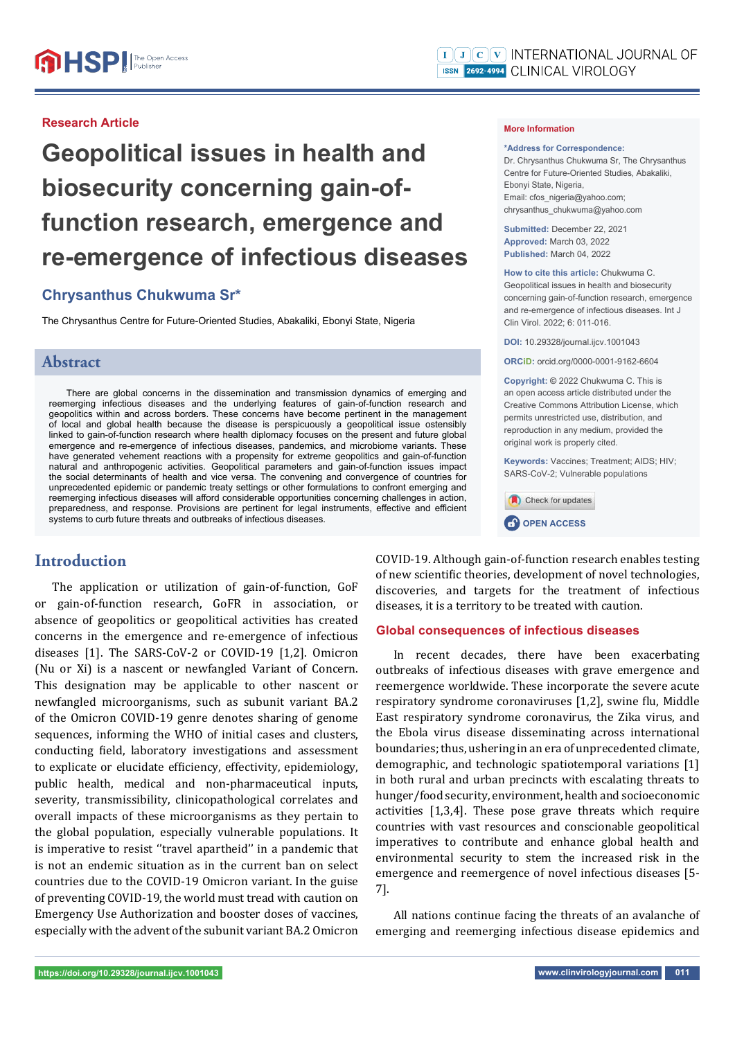## **Research Article**

# **Geopolitical issues in health and biosecurity concerning gain-offunction research, emergence and re-emergence of infectious diseases**

## **Chrysanthus Chukwuma Sr\***

The Chrysanthus Centre for Future-Oriented Studies, Abakaliki, Ebonyi State, Nigeria

## **Abstract**

There are global concerns in the dissemination and transmission dynamics of emerging and reemerging infectious diseases and the underlying features of gain-of-function research and geopolitics within and across borders. These concerns have become pertinent in the management of local and global health because the disease is perspicuously a geopolitical issue ostensibly linked to gain-of-function research where health diplomacy focuses on the present and future global emergence and re-emergence of infectious diseases, pandemics, and microbiome variants. These have generated vehement reactions with a propensity for extreme geopolitics and gain-of-function natural and anthropogenic activities. Geopolitical parameters and gain-of-function issues impact the social determinants of health and vice versa. The convening and convergence of countries for unprecedented epidemic or pandemic treaty settings or other formulations to confront emerging and reemerging infectious diseases will afford considerable opportunities concerning challenges in action, preparedness, and response. Provisions are pertinent for legal instruments, effective and efficient systems to curb future threats and outbreaks of infectious diseases.

## **Introduction**

The application or utilization of gain-of-function, GoF or gain-of-function research, GoFR in association, or absence of geopolitics or geopolitical activities has created concerns in the emergence and re-emergence of infectious diseases [1]. The SARS-CoV-2 or COVID-19 [1,2]. Omicron (Nu or Xi) is a nascent or newfangled Variant of Concern. This designation may be applicable to other nascent or newfangled microorganisms, such as subunit variant BA.2 of the Omicron COVID-19 genre denotes sharing of genome sequences, informing the WHO of initial cases and clusters, conducting field, laboratory investigations and assessment to explicate or elucidate efficiency, effectivity, epidemiology, public health, medical and non-pharmaceutical inputs, severity, transmissibility, clinicopathological correlates and overall impacts of these microorganisms as they pertain to the global population, especially vulnerable populations. It is imperative to resist ''travel apartheid'' in a pandemic that is not an endemic situation as in the current ban on select countries due to the COVID-19 Omicron variant. In the guise of preventing COVID-19, the world must tread with caution on Emergency Use Authorization and booster doses of vaccines, especially with the advent of the subunit variant BA.2 Omicron

#### **More Information**

**\*Address for Correspondence:** Dr. Chrysanthus Chukwuma Sr, The Chrysanthus Centre for Future-Oriented Studies, Abakaliki, Ebonyi State, Nigeria, Email: cfos\_nigeria@yahoo.com; chrysanthus\_chukwuma@yahoo.com

**Submitted:** December 22, 2021 **Approved:** March 03, 2022 **Published:** March 04, 2022

**How to cite this article:** Chukwuma C. Geopolitical issues in health and biosecurity concerning gain-of-function research, emergence and re-emergence of infectious diseases. Int J Clin Virol. 2022; 6: 011-016.

**DOI:** 10.29328/journal.ijcv.1001043

**ORCiD:** orcid.org/0000-0001-9162-6604

**Copyright: ©** 2022 Chukwuma C. This is an open access article distributed under the Creative Commons Attribution License, which permits unrestricted use, distribution, and reproduction in any medium, provided the original work is properly cited.

**Keywords:** Vaccines; Treatment; AIDS; HIV; SARS-CoV-2; Vulnerable populations



**CP** OPEN ACCESS

COVID-19. Although gain-of-function research enables testing of new scientific theories, development of novel technologies, discoveries, and targets for the treatment of infectious diseases, it is a territory to be treated with caution.

### **Global consequences of infectious diseases**

In recent decades, there have been exacerbating outbreaks of infectious diseases with grave emergence and reemergence worldwide. These incorporate the severe acute respiratory syndrome coronaviruses [1,2], swine flu, Middle East respiratory syndrome coronavirus, the Zika virus, and the Ebola virus disease disseminating across international boundaries; thus, ushering in an era of unprecedented climate, demographic, and technologic spatiotemporal variations [1] in both rural and urban precincts with escalating threats to hunger/food security, environment, health and socioeconomic activities [1,3,4]. These pose grave threats which require countries with vast resources and conscionable geopolitical imperatives to contribute and enhance global health and environmental security to stem the increased risk in the emergence and reemergence of novel infectious diseases [5- 7].

All nations continue facing the threats of an avalanche of emerging and reemerging infectious disease epidemics and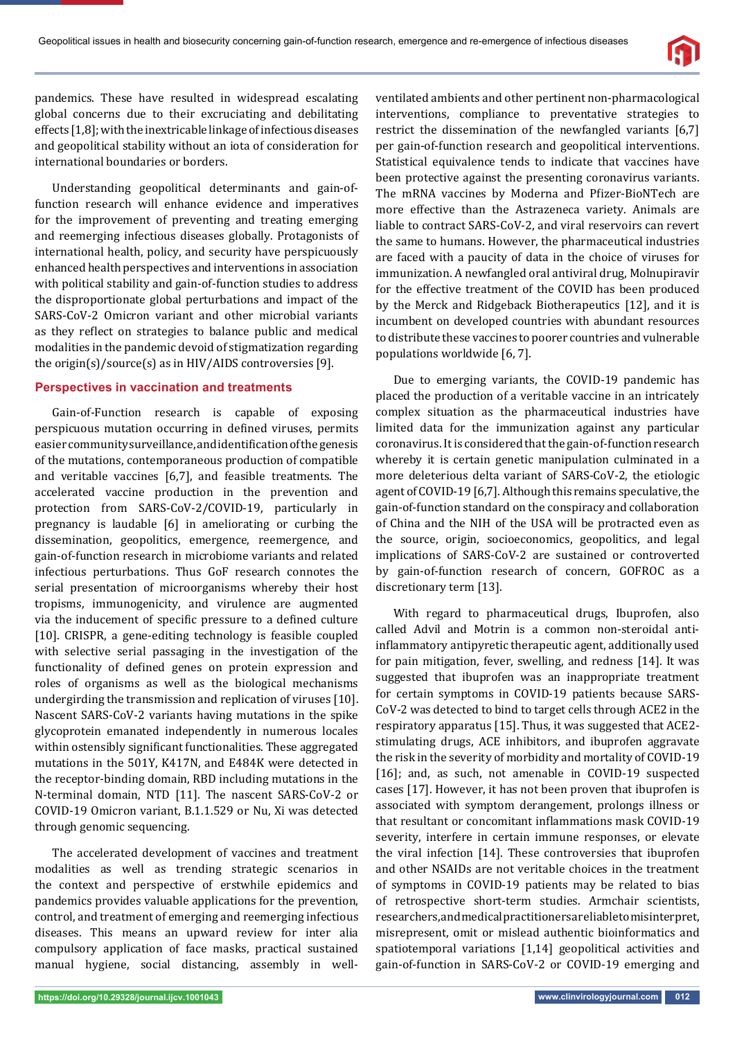

pandemics. These have resulted in widespread escalating global concerns due to their excruciating and debilitating effects [1,8]; with the inextricable linkage of infectious diseases and geopolitical stability without an iota of consideration for international boundaries or borders.

Understanding geopolitical determinants and gain-offunction research will enhance evidence and imperatives for the improvement of preventing and treating emerging and reemerging infectious diseases globally. Protagonists of international health, policy, and security have perspicuously enhanced health perspectives and interventions in association with political stability and gain-of-function studies to address the disproportionate global perturbations and impact of the SARS-CoV-2 Omicron variant and other microbial variants as they reflect on strategies to balance public and medical modalities in the pandemic devoid of stigmatization regarding the origin(s)/source(s) as in HIV/AIDS controversies [9].

## **Perspectives in vaccination and treatments**

Gain-of-Function research is capable of exposing perspicuous mutation occurring in defined viruses, permits easier community surveillance, and identification of the genesis of the mutations, contemporaneous production of compatible and veritable vaccines [6,7], and feasible treatments. The accelerated vaccine production in the prevention and protection from SARS-CoV-2/COVID-19, particularly in pregnancy is laudable [6] in ameliorating or curbing the dissemination, geopolitics, emergence, reemergence, and gain-of-function research in microbiome variants and related infectious perturbations. Thus GoF research connotes the serial presentation of microorganisms whereby their host tropisms, immunogenicity, and virulence are augmented via the inducement of specific pressure to a defined culture [10]. CRISPR, a gene-editing technology is feasible coupled with selective serial passaging in the investigation of the functionality of defined genes on protein expression and roles of organisms as well as the biological mechanisms undergirding the transmission and replication of viruses [10]. Nascent SARS-CoV-2 variants having mutations in the spike glycoprotein emanated independently in numerous locales within ostensibly significant functionalities. These aggregated mutations in the 501Y, K417N, and E484K were detected in the receptor-binding domain, RBD including mutations in the N-terminal domain, NTD [11]. The nascent SARS-CoV-2 or COVID-19 Omicron variant, B.1.1.529 or Nu, Xi was detected through genomic sequencing.

The accelerated development of vaccines and treatment modalities as well as trending strategic scenarios in the context and perspective of erstwhile epidemics and pandemics provides valuable applications for the prevention, control, and treatment of emerging and reemerging infectious diseases. This means an upward review for inter alia compulsory application of face masks, practical sustained manual hygiene, social distancing, assembly in wellventilated ambients and other pertinent non-pharmacological interventions, compliance to preventative strategies to restrict the dissemination of the newfangled variants [6,7] per gain-of-function research and geopolitical interventions. Statistical equivalence tends to indicate that vaccines have been protective against the presenting coronavirus variants. The mRNA vaccines by Moderna and Pfizer-BioNTech are more effective than the Astrazeneca variety. Animals are liable to contract SARS-CoV-2, and viral reservoirs can revert the same to humans. However, the pharmaceutical industries are faced with a paucity of data in the choice of viruses for immunization. A newfangled oral antiviral drug, Molnupiravir for the effective treatment of the COVID has been produced by the Merck and Ridgeback Biotherapeutics [12], and it is incumbent on developed countries with abundant resources to distribute these vaccines to poorer countries and vulnerable populations worldwide [6, 7].

Due to emerging variants, the COVID-19 pandemic has placed the production of a veritable vaccine in an intricately complex situation as the pharmaceutical industries have limited data for the immunization against any particular coronavirus. It is considered that the gain-of-function research whereby it is certain genetic manipulation culminated in a more deleterious delta variant of SARS-CoV-2, the etiologic agent of COVID-19 [6,7]. Although this remains speculative, the gain-of-function standard on the conspiracy and collaboration of China and the NIH of the USA will be protracted even as the source, origin, socioeconomics, geopolitics, and legal implications of SARS-CoV-2 are sustained or controverted by gain-of-function research of concern, GOFROC as a discretionary term [13].

With regard to pharmaceutical drugs, Ibuprofen, also called Advil and Motrin is a common non-steroidal antiinflammatory antipyretic therapeutic agent, additionally used for pain mitigation, fever, swelling, and redness [14]. It was suggested that ibuprofen was an inappropriate treatment for certain symptoms in COVID-19 patients because SARS-CoV-2 was detected to bind to target cells through ACE2 in the respiratory apparatus [15]. Thus, it was suggested that ACE2 stimulating drugs, ACE inhibitors, and ibuprofen aggravate the risk in the severity of morbidity and mortality of COVID-19 [16]; and, as such, not amenable in COVID-19 suspected cases [17]. However, it has not been proven that ibuprofen is associated with symptom derangement, prolongs illness or that resultant or concomitant inflammations mask COVID-19 severity, interfere in certain immune responses, or elevate the viral infection [14]. These controversies that ibuprofen and other NSAIDs are not veritable choices in the treatment of symptoms in COVID-19 patients may be related to bias of retrospective short-term studies. Armchair scientists, researchers, and medical practitioners are liable to misinterpret, misrepresent, omit or mislead authentic bioinformatics and spatiotemporal variations [1,14] geopolitical activities and gain-of-function in SARS-CoV-2 or COVID-19 emerging and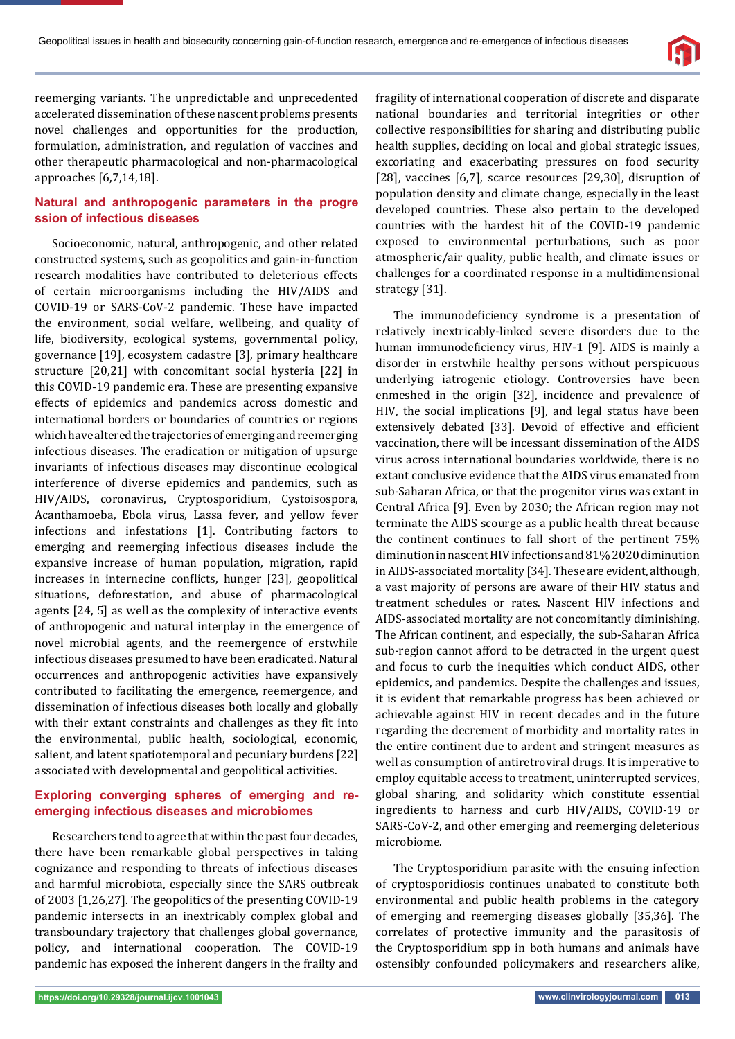

reemerging variants. The unpredictable and unprecedented accelerated dissemination of these nascent problems presents novel challenges and opportunities for the production, formulation, administration, and regulation of vaccines and other therapeutic pharmacological and non-pharmacological approaches [6,7,14,18].

## **Natural and anthropogenic parameters in the progre ssion of infectious diseases**

Socioeconomic, natural, anthropogenic, and other related constructed systems, such as geopolitics and gain-in-function research modalities have contributed to deleterious effects of certain microorganisms including the HIV/AIDS and COVID-19 or SARS-CoV-2 pandemic. These have impacted the environment, social welfare, wellbeing, and quality of life, biodiversity, ecological systems, governmental policy, governance [19], ecosystem cadastre [3], primary healthcare structure [20,21] with concomitant social hysteria [22] in this COVID-19 pandemic era. These are presenting expansive effects of epidemics and pandemics across domestic and international borders or boundaries of countries or regions which have altered the trajectories of emerging and reemerging infectious diseases. The eradication or mitigation of upsurge invariants of infectious diseases may discontinue ecological interference of diverse epidemics and pandemics, such as HIV/AIDS, coronavirus, Cryptosporidium, Cystoisospora, Acanthamoeba, Ebola virus, Lassa fever, and yellow fever infections and infestations [1]. Contributing factors to emerging and reemerging infectious diseases include the expansive increase of human population, migration, rapid increases in internecine conflicts, hunger [23], geopolitical situations, deforestation, and abuse of pharmacological agents [24, 5] as well as the complexity of interactive events of anthropogenic and natural interplay in the emergence of novel microbial agents, and the reemergence of erstwhile infectious diseases presumed to have been eradicated. Natural occurrences and anthropogenic activities have expansively contributed to facilitating the emergence, reemergence, and dissemination of infectious diseases both locally and globally with their extant constraints and challenges as they fit into the environmental, public health, sociological, economic, salient, and latent spatiotemporal and pecuniary burdens [22] associated with developmental and geopolitical activities.

## **Exploring converging spheres of emerging and reemerging infectious diseases and microbiomes**

Researchers tend to agree that within the past four decades, there have been remarkable global perspectives in taking cognizance and responding to threats of infectious diseases and harmful microbiota, especially since the SARS outbreak of 2003 [1,26,27]. The geopolitics of the presenting COVID-19 pandemic intersects in an inextricably complex global and transboundary trajectory that challenges global governance, policy, and international cooperation. The COVID-19 pandemic has exposed the inherent dangers in the frailty and fragility of international cooperation of discrete and disparate national boundaries and territorial integrities or other collective responsibilities for sharing and distributing public health supplies, deciding on local and global strategic issues, excoriating and exacerbating pressures on food security [28], vaccines [6,7], scarce resources [29,30], disruption of population density and climate change, especially in the least developed countries. These also pertain to the developed countries with the hardest hit of the COVID-19 pandemic exposed to environmental perturbations, such as poor atmospheric/air quality, public health, and climate issues or challenges for a coordinated response in a multidimensional strategy [31].

The immunodeficiency syndrome is a presentation of relatively inextricably-linked severe disorders due to the human immunodeficiency virus, HIV-1 [9]. AIDS is mainly a disorder in erstwhile healthy persons without perspicuous underlying iatrogenic etiology. Controversies have been enmeshed in the origin [32], incidence and prevalence of HIV, the social implications [9], and legal status have been extensively debated [33]. Devoid of effective and efficient vaccination, there will be incessant dissemination of the AIDS virus across international boundaries worldwide, there is no extant conclusive evidence that the AIDS virus emanated from sub-Saharan Africa, or that the progenitor virus was extant in Central Africa [9]. Even by 2030; the African region may not terminate the AIDS scourge as a public health threat because the continent continues to fall short of the pertinent 75% diminution in nascent HIV infections and 81% 2020 diminution in AIDS-associated mortality [34]. These are evident, although, a vast majority of persons are aware of their HIV status and treatment schedules or rates. Nascent HIV infections and AIDS-associated mortality are not concomitantly diminishing. The African continent, and especially, the sub-Saharan Africa sub-region cannot afford to be detracted in the urgent quest and focus to curb the inequities which conduct AIDS, other epidemics, and pandemics. Despite the challenges and issues, it is evident that remarkable progress has been achieved or achievable against HIV in recent decades and in the future regarding the decrement of morbidity and mortality rates in the entire continent due to ardent and stringent measures as well as consumption of antiretroviral drugs. It is imperative to employ equitable access to treatment, uninterrupted services, global sharing, and solidarity which constitute essential ingredients to harness and curb HIV/AIDS, COVID-19 or SARS-CoV-2, and other emerging and reemerging deleterious microbiome.

The Cryptosporidium parasite with the ensuing infection of cryptosporidiosis continues unabated to constitute both environmental and public health problems in the category of emerging and reemerging diseases globally [35,36]. The correlates of protective immunity and the parasitosis of the Cryptosporidium spp in both humans and animals have ostensibly confounded policymakers and researchers alike,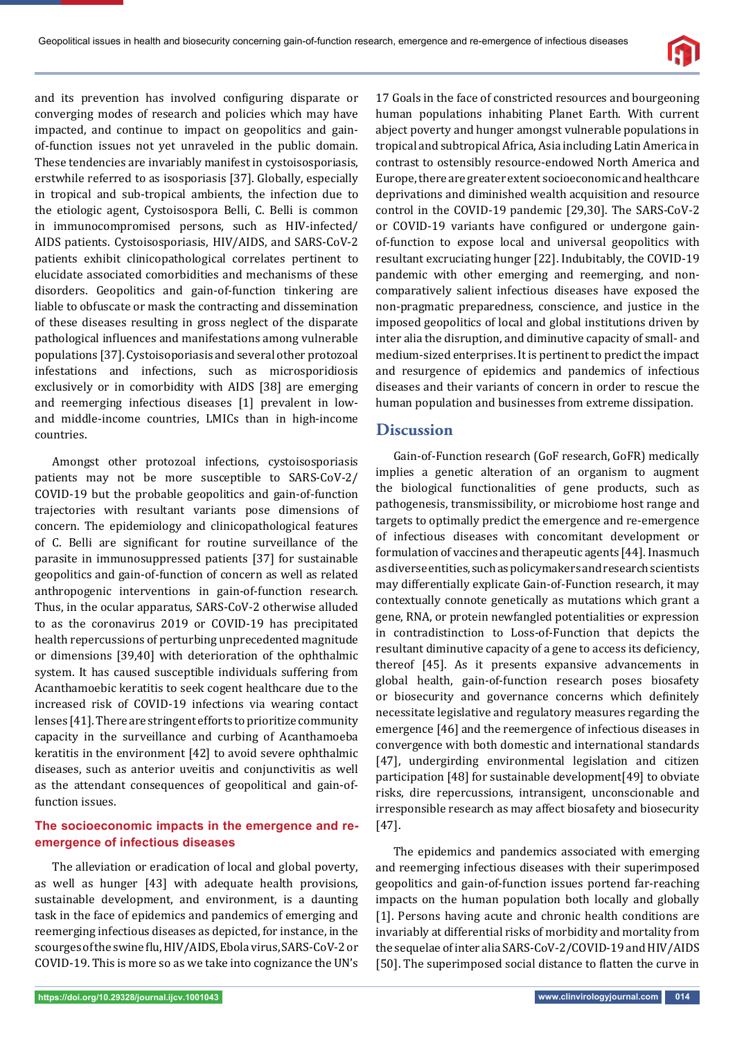

and its prevention has involved configuring disparate or converging modes of research and policies which may have impacted, and continue to impact on geopolitics and gainof-function issues not yet unraveled in the public domain. These tendencies are invariably manifest in cystoisosporiasis, erstwhile referred to as isosporiasis [37]. Globally, especially in tropical and sub-tropical ambients, the infection due to the etiologic agent, Cystoisospora Belli, C. Belli is common in immunocompromised persons, such as HIV-infected/ AIDS patients. Cystoisosporiasis, HIV/AIDS, and SARS-CoV-2 patients exhibit clinicopathological correlates pertinent to elucidate associated comorbidities and mechanisms of these disorders. Geopolitics and gain-of-function tinkering are liable to obfuscate or mask the contracting and dissemination of these diseases resulting in gross neglect of the disparate pathological influences and manifestations among vulnerable populations [37]. Cystoisoporiasis and several other protozoal infestations and infections, such as microsporidiosis exclusively or in comorbidity with AIDS [38] are emerging and reemerging infectious diseases [1] prevalent in lowand middle-income countries, LMICs than in high-income countries.

Amongst other protozoal infections, cystoisosporiasis patients may not be more susceptible to SARS-CoV-2/ COVID-19 but the probable geopolitics and gain-of-function trajectories with resultant variants pose dimensions of concern. The epidemiology and clinicopathological features of C. Belli are significant for routine surveillance of the parasite in immunosuppressed patients [37] for sustainable geopolitics and gain-of-function of concern as well as related anthropogenic interventions in gain-of-function research. Thus, in the ocular apparatus, SARS-CoV-2 otherwise alluded to as the coronavirus 2019 or COVID-19 has precipitated health repercussions of perturbing unprecedented magnitude or dimensions [39,40] with deterioration of the ophthalmic system. It has caused susceptible individuals suffering from Acanthamoebic keratitis to seek cogent healthcare due to the increased risk of COVID-19 infections via wearing contact lenses [41]. There are stringent efforts to prioritize community capacity in the surveillance and curbing of Acanthamoeba keratitis in the environment [42] to avoid severe ophthalmic diseases, such as anterior uveitis and conjunctivitis as well as the attendant consequences of geopolitical and gain-offunction issues.

## **The socioeconomic impacts in the emergence and reemergence of infectious diseases**

The alleviation or eradication of local and global poverty, as well as hunger [43] with adequate health provisions, sustainable development, and environment, is a daunting task in the face of epidemics and pandemics of emerging and reemerging infectious diseases as depicted, for instance, in the scourges of the swine flu, HIV/AIDS, Ebola virus, SARS-CoV-2 or COVID-19. This is more so as we take into cognizance the UN's

17 Goals in the face of constricted resources and bourgeoning human populations inhabiting Planet Earth. With current abject poverty and hunger amongst vulnerable populations in tropical and subtropical Africa, Asia including Latin America in contrast to ostensibly resource-endowed North America and Europe, there are greater extent socioeconomic and healthcare deprivations and diminished wealth acquisition and resource control in the COVID-19 pandemic [29,30]. The SARS-CoV-2 or COVID-19 variants have configured or undergone gainof-function to expose local and universal geopolitics with resultant excruciating hunger [22]. Indubitably, the COVID-19 pandemic with other emerging and reemerging, and noncomparatively salient infectious diseases have exposed the non-pragmatic preparedness, conscience, and justice in the imposed geopolitics of local and global institutions driven by inter alia the disruption, and diminutive capacity of small- and medium-sized enterprises. It is pertinent to predict the impact and resurgence of epidemics and pandemics of infectious diseases and their variants of concern in order to rescue the human population and businesses from extreme dissipation.

## **Discussion**

Gain-of-Function research (GoF research, GoFR) medically implies a genetic alteration of an organism to augment the biological functionalities of gene products, such as pathogenesis, transmissibility, or microbiome host range and targets to optimally predict the emergence and re-emergence of infectious diseases with concomitant development or formulation of vaccines and therapeutic agents [44]. Inasmuch as diverse entities, such as policymakers and research scientists may differentially explicate Gain-of-Function research, it may contextually connote genetically as mutations which grant a gene, RNA, or protein newfangled potentialities or expression in contradistinction to Loss-of-Function that depicts the resultant diminutive capacity of a gene to access its deficiency, thereof [45]. As it presents expansive advancements in global health, gain-of-function research poses biosafety or biosecurity and governance concerns which definitely necessitate legislative and regulatory measures regarding the emergence [46] and the reemergence of infectious diseases in convergence with both domestic and international standards [47], undergirding environmental legislation and citizen participation [48] for sustainable development[49] to obviate risks, dire repercussions, intransigent, unconscionable and irresponsible research as may affect biosafety and biosecurity [47].

The epidemics and pandemics associated with emerging and reemerging infectious diseases with their superimposed geopolitics and gain-of-function issues portend far-reaching impacts on the human population both locally and globally [1]. Persons having acute and chronic health conditions are invariably at differential risks of morbidity and mortality from the sequelae of inter alia SARS-CoV-2/COVID-19 and HIV/AIDS [50]. The superimposed social distance to flatten the curve in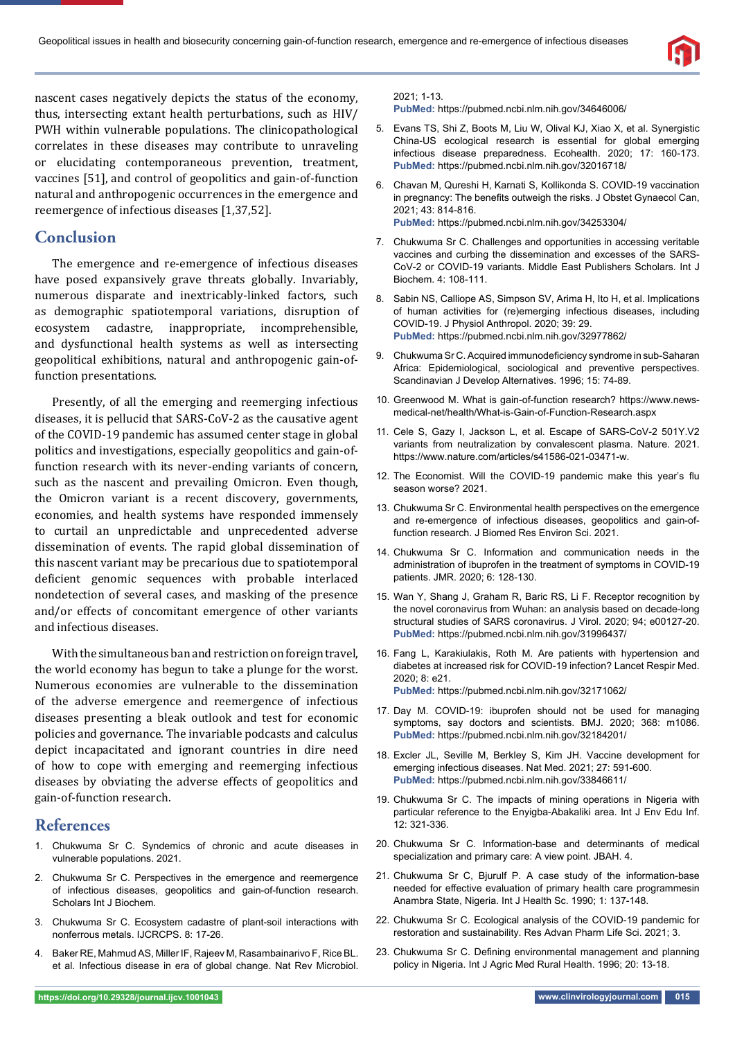

nascent cases negatively depicts the status of the economy, thus, intersecting extant health perturbations, such as HIV/ PWH within vulnerable populations. The clinicopathological correlates in these diseases may contribute to unraveling or elucidating contemporaneous prevention, treatment, vaccines [51], and control of geopolitics and gain-of-function natural and anthropogenic occurrences in the emergence and reemergence of infectious diseases [1,37,52].

# **Conclusion**

The emergence and re-emergence of infectious diseases have posed expansively grave threats globally. Invariably, numerous disparate and inextricably-linked factors, such as demographic spatiotemporal variations, disruption of ecosystem cadastre, inappropriate, incomprehensible, and dysfunctional health systems as well as intersecting geopolitical exhibitions, natural and anthropogenic gain-offunction presentations.

Presently, of all the emerging and reemerging infectious diseases, it is pellucid that SARS-CoV-2 as the causative agent of the COVID-19 pandemic has assumed center stage in global politics and investigations, especially geopolitics and gain-offunction research with its never-ending variants of concern, such as the nascent and prevailing Omicron. Even though, the Omicron variant is a recent discovery, governments, economies, and health systems have responded immensely to curtail an unpredictable and unprecedented adverse dissemination of events. The rapid global dissemination of this nascent variant may be precarious due to spatiotemporal deficient genomic sequences with probable interlaced nondetection of several cases, and masking of the presence and/or effects of concomitant emergence of other variants and infectious diseases.

With the simultaneous ban and restriction on foreign travel, the world economy has begun to take a plunge for the worst. Numerous economies are vulnerable to the dissemination of the adverse emergence and reemergence of infectious diseases presenting a bleak outlook and test for economic policies and governance. The invariable podcasts and calculus depict incapacitated and ignorant countries in dire need of how to cope with emerging and reemerging infectious diseases by obviating the adverse effects of geopolitics and gain-of-function research.

## **References**

- 1. Chukwuma Sr C. Syndemics of chronic and acute diseases in vulnerable populations. 2021.
- 2. Chukwuma Sr C. Perspectives in the emergence and reemergence of infectious diseases, geopolitics and gain-of-function research. Scholars Int J Biochem.
- 3. Chukwuma Sr C. Ecosystem cadastre of plant-soil interactions with nonferrous metals. IJCRCPS. 8: 17-26.
- 4. Baker RE, Mahmud AS, Miller IF, Rajeev M, Rasambainarivo F, Rice BL. et al. Infectious disease in era of global change. Nat Rev Microbiol.

#### 2021; 1-13.

**PubMed:** https://pubmed.ncbi.nlm.nih.gov/34646006/

- 5. Evans TS, Shi Z, Boots M, Liu W, Olival KJ, Xiao X, et al. Synergistic China-US ecological research is essential for global emerging infectious disease preparedness. Ecohealth. 2020; 17: 160-173. **PubMed:** https://pubmed.ncbi.nlm.nih.gov/32016718/
- 6. Chavan M, Qureshi H, Karnati S, Kollikonda S. COVID-19 vaccination in pregnancy: The benefits outweigh the risks. J Obstet Gynaecol Can, 2021; 43: 814-816. **PubMed:** https://pubmed.ncbi.nlm.nih.gov/34253304/
- 7. Chukwuma Sr C. Challenges and opportunities in accessing veritable vaccines and curbing the dissemination and excesses of the SARS-CoV-2 or COVID-19 variants. Middle East Publishers Scholars. Int J Biochem. 4: 108-111.
- 8. Sabin NS, Calliope AS, Simpson SV, Arima H, Ito H, et al. Implications of human activities for (re)emerging infectious diseases, including COVID-19. J Physiol Anthropol. 2020; 39: 29. **PubMed:** https://pubmed.ncbi.nlm.nih.gov/32977862/
- 9. Chukwuma Sr C. Acquired immunodeficiency syndrome in sub-Saharan Africa: Epidemiological, sociological and preventive perspectives. Scandinavian J Develop Alternatives. 1996; 15: 74-89.
- 10. Greenwood M. What is gain-of-function research? https://www.newsmedical-net/health/What-is-Gain-of-Function-Research.aspx
- 11. Cele S, Gazy I, Jackson L, et al. Escape of SARS-CoV-2 501Y.V2 variants from neutralization by convalescent plasma. Nature. 2021. https://www.nature.com/articles/s41586-021-03471-w.
- 12. The Economist. Will the COVID-19 pandemic make this year's flu season worse? 2021.
- 13. Chukwuma Sr C. Environmental health perspectives on the emergence and re-emergence of infectious diseases, geopolitics and gain-offunction research. J Biomed Res Environ Sci. 2021.
- 14. Chukwuma Sr C. Information and communication needs in the administration of ibuprofen in the treatment of symptoms in COVID-19 patients. JMR. 2020; 6: 128-130.
- 15. Wan Y, Shang J, Graham R, Baric RS, Li F. Receptor recognition by the novel coronavirus from Wuhan: an analysis based on decade-long structural studies of SARS coronavirus. J Virol. 2020; 94; e00127-20. **PubMed:** https://pubmed.ncbi.nlm.nih.gov/31996437/
- 16. Fang L, Karakiulakis, Roth M. Are patients with hypertension and diabetes at increased risk for COVID-19 infection? Lancet Respir Med. 2020; 8: e21. **PubMed:** https://pubmed.ncbi.nlm.nih.gov/32171062/
- 17. Day M. COVID-19: ibuprofen should not be used for managing symptoms, say doctors and scientists. BMJ. 2020; 368: m1086. **PubMed:** https://pubmed.ncbi.nlm.nih.gov/32184201/
- 18. Excler JL, Seville M, Berkley S, Kim JH. Vaccine development for emerging infectious diseases. Nat Med. 2021; 27: 591-600. **PubMed:** https://pubmed.ncbi.nlm.nih.gov/33846611/
- 19. Chukwuma Sr C. The impacts of mining operations in Nigeria with particular reference to the Enyigba-Abakaliki area. Int J Env Edu Inf. 12: 321-336.
- 20. Chukwuma Sr C. Information-base and determinants of medical specialization and primary care: A view point. JBAH. 4.
- 21. Chukwuma Sr C, Bjurulf P. A case study of the information-base needed for effective evaluation of primary health care programmesin Anambra State, Nigeria. Int J Health Sc. 1990; 1: 137-148.
- 22. Chukwuma Sr C. Ecological analysis of the COVID-19 pandemic for restoration and sustainability. Res Advan Pharm Life Sci. 2021; 3.
- 23. Chukwuma Sr C. Defining environmental management and planning policy in Nigeria. Int J Agric Med Rural Health. 1996; 20: 13-18.